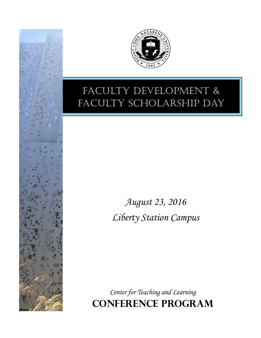



## Faculty Development & FACULTY SCHOLARSHIP DAY

August 23, 2016 Liberty Station Campus

Center for Teaching and Learning **Conference Program**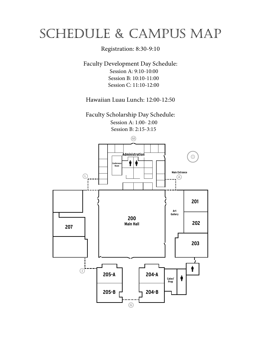# ScheDule & campuS map

## Registration: 8:30-9:10

Faculty Development Day Schedule: Session A: 9:10-10:00 Session B: 10:10-11:00 Session C: 11:10-12:00

Hawaiian Luau Lunch: 12:00-12:50

Faculty Scholarship Day Schedule: Session A: 1:00- 2:00 Session B: 2:15-3:15

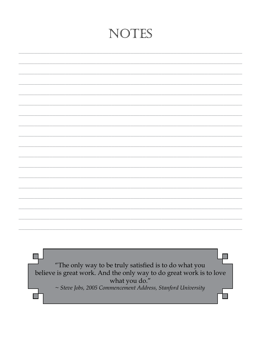## NOTES

 $\Box$ "The only way to be truly satisfied is to do what you believe is great work. And the only way to do great work is to love what you do."  $\sim$  Steve Jobs, 2005 Commencement Address, Stanford University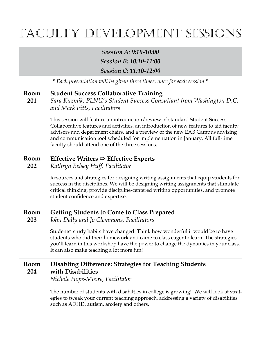# FACULTY DEVELOPMENT SESSIONS

*Session A: 9:10-10:00 Session B: 10:10-11:00 Session C: 11:10-12:00*

*\* Each presentation will be given three times, once for each session.\**

#### **Student Success Collaborative Training Room**

**201**

*Sara Kuzmik, PLNU's Student Success Consultant from Washington D.C. and Mark Pitts, Facilitators*

This session will feature an introduction/review of standard Student Success Collaborative features and activities, an introduction of new features to aid faculty advisors and department chairs, and a preview of the new EAB Campus advising and communication tool scheduled for implementation in January. All full-time faculty should attend one of the three sessions.

#### **Effective Writers**  $\Rightarrow$  **Effective Experts Room**

*Kathryn Belsey Huff, Facilitator* **202**

> Resources and strategies for designing writing assignments that equip students for success in the disciplines. We will be designing writing assignments that stimulate critical thinking, provide discipline-centered writing opportunities, and promote student confidence and expertise.

#### **Getting Students to Come to Class Prepared Room**

*John Dally and Jo Clemmons, Facilitators* **203**

> Students' study habits have changed! Think how wonderful it would be to have students who did their homework and came to class eager to learn. The strategies you'll learn in this workshop have the power to change the dynamics in your class. It can also make teaching a lot more fun!

#### **Disabling Difference: Strategies for Teaching Students with Disabilities Room 204**

*Nichole Hope-Moore, Facilitator*

The number of students with disabilties in college is growing! We will look at strategies to tweak your current teaching approach, addressing a variety of disabilities such as ADHD, autism, anxiety and others.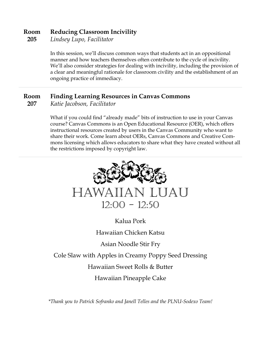#### **Reducing Classroom Incivility Room**

*Lindsey Lupo, Facilitator* **205**

> In this session, we'll discuss common ways that students act in an oppositional manner and how teachers themselves often contribute to the cycle of incivility. We'll also consider strategies for dealing with incivility, including the provision of a clear and meaningful rationale for classroom civility and the establishment of an ongoing practice of immediacy.

#### **Finding Learning Resources in Canvas Commons Room**

*Katie Jacobson, Facilitator* **207**

> What if you could find "already made" bits of instruction to use in your Canvas course? Canvas Commons is an Open Educational Resource (OER), which offers instructional resources created by users in the Canvas Community who want to share their work. Come learn about OERs, Canvas Commons and Creative Commons licensing which allows educators to share what they have created without all the restrictions imposed by copyright law.



Hawaiian Pineapple Cake

*\*Thank you to Patrick Sofranko and Janell Telles and the PLNU-Sodexo Team!*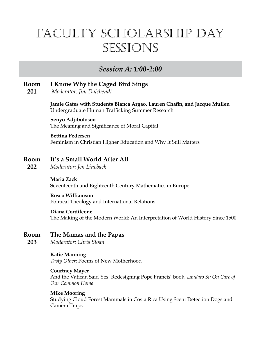## Faculty ScholarShip Day **SESSIONS**

## *Session A: 1:00-2:00*

#### **Room I Know Why the Caged Bird Sings**

**201** *Moderator: Jim Daichendt*

> **Jamie Gates with Students Bianca Argao, Lauren Chafn, and Jacque Mullen** Undergraduate Human Trafficking Summer Research

#### **Senyo Adjibolosoo**

The Meaning and Signifcance of Moral Capital

#### **Bettina Pedersen**

Feminism in Christian Higher Education and Why It Still Matters

#### **Room It's a Small World After All**

**202** *Moderator: Jen Lineback*

> **Maria Zack** Seventeenth and Eighteenth Century Mathematics in Europe

#### **Rosco Williamson** Political Theology and International Relations

#### **Diana Cordileone**

The Making of the Modern World: An Interpretation of World History Since 1500

- **Room The Mamas and the Papas**
- **203** *Moderator: Chris Sloan*

#### **Katie Manning**

*Tasty Other*: Poems of New Motherhood

#### **Courtney Mayer**

And the Vatican Said Yes! Redesigning Pope Francis' book, *Laudato Si: On Care of Our Common Home*

#### **Mike Mooring**

Studying Cloud Forest Mammals in Costa Rica Using Scent Detection Dogs and Camera Traps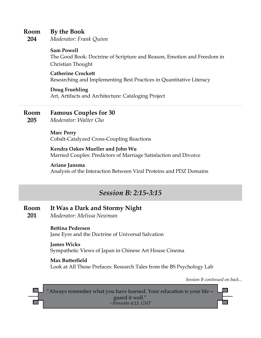#### **By the Book Room**

*Moderator: Frank Quinn* **204**

## **Sam Powell**

The Good Book: Doctrine of Scripture and Reason, Emotion and Freedom in Christian Thought

### **Catherine Crockett**

Researching and Implementing Best Practices in Quantitative Literacy

## **Doug Fruehling**

Art, Artifacts and Architecture: Cataloging Project

#### **Famous Couples for 30 Room**

*Moderator: Walter Cho* **205**

**Marc Perry**

Cobalt-Catalyzed Cross-Coupling Reactions

## **Kendra Oakes Mueller and John Wu**

Married Couples: Predictors of Marriage Satisfaction and Divorce

## **Ariane Jansma**

Analysis of the Interaction Between Viral Proteins and PDZ Domains

## *Session B: 2:15-3:15*

#### **Room It Was a Dark and Stormy Night**

**201** *Moderator: Melissa Newman*

## **Bettina Pedersen**

Jane Eyre and the Doctrine of Universal Salvation

#### **James Wicks**

Sympathetic Views of Japan in Chinese Art House Cinema

## **Max Butterfeld**

Look at All Those Prefaces: Research Tales from the BS Psychology Lab

*Session B continued on back...*

"Always remember what you have learned. Your education is your life guard it well." *~Proverbs 4:13, GNT*